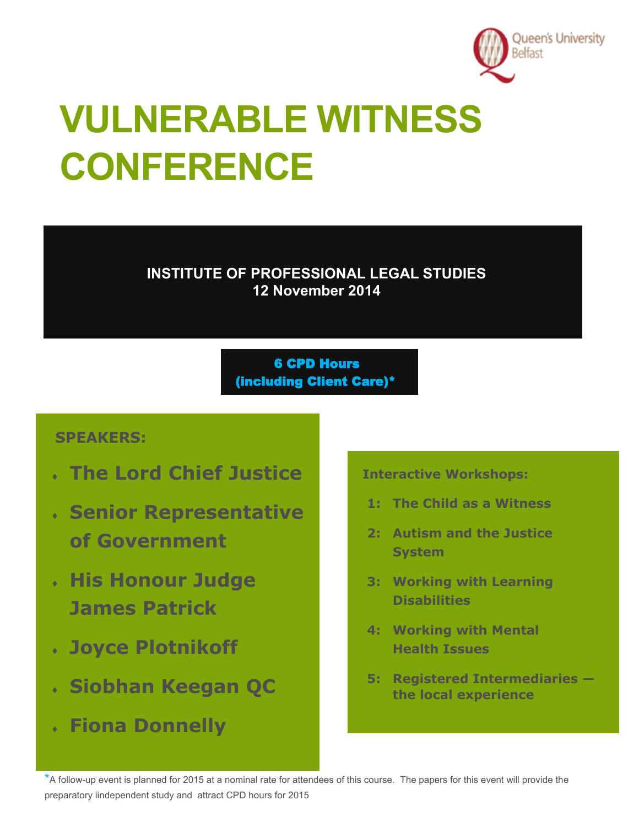

# **VULNERABLE WITNESS CONFERENCE**

**INSTITUTE OF PROFESSIONAL LEGAL STUDIES 12 November 2014**

> 6 CPD Hours (including Client Care)\*

# **SPEAKERS:**

- **The Lord Chief Justice**
- **Senior Representative of Government**
- **His Honour Judge James Patrick**
- **Joyce Plotnikoff**
- **Siobhan Keegan QC**
- **Fiona Donnelly**

**Interactive Workshops:**

- **1: The Child as a Witness**
- **2: Autism and the Justice System**
- **3: Working with Learning Disabilities**
- **4: Working with Mental Health Issues**
- **5: Registered Intermediaries the local experience**

\*A follow-up event is planned for 2015 at a nominal rate for attendees of this course. The papers for this event will provide the preparatory iindependent study and attract CPD hours for 2015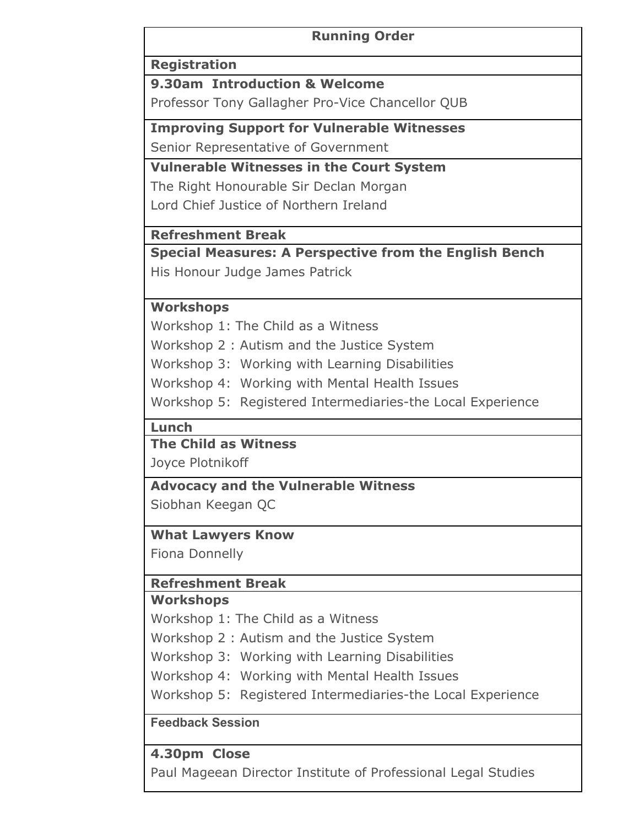#### **Running Order**

#### **Registration**

**9.30am Introduction & Welcome**

Professor Tony Gallagher Pro-Vice Chancellor QUB

**Improving Support for Vulnerable Witnesses**

Senior Representative of Government

**Vulnerable Witnesses in the Court System**

The Right Honourable Sir Declan Morgan Lord Chief Justice of Northern Ireland

### **Refreshment Break**

**Special Measures: A Perspective from the English Bench** His Honour Judge James Patrick

#### **Workshops**

Workshop 1: The Child as a Witness

Workshop 2 : Autism and the Justice System

Workshop 3: Working with Learning Disabilities

Workshop 4: Working with Mental Health Issues

Workshop 5: Registered Intermediaries-the Local Experience

#### **Lunch**

### **The Child as Witness**

Joyce Plotnikoff

**Advocacy and the Vulnerable Witness** Siobhan Keegan QC

### **What Lawyers Know**

Fiona Donnelly

# **Refreshment Break**

## **Workshops**

Workshop 1: The Child as a Witness

Workshop 2 : Autism and the Justice System

Workshop 3: Working with Learning Disabilities

Workshop 4: Working with Mental Health Issues

Workshop 5: Registered Intermediaries-the Local Experience

### **Feedback Session**

# **4.30pm Close**

Paul Mageean Director Institute of Professional Legal Studies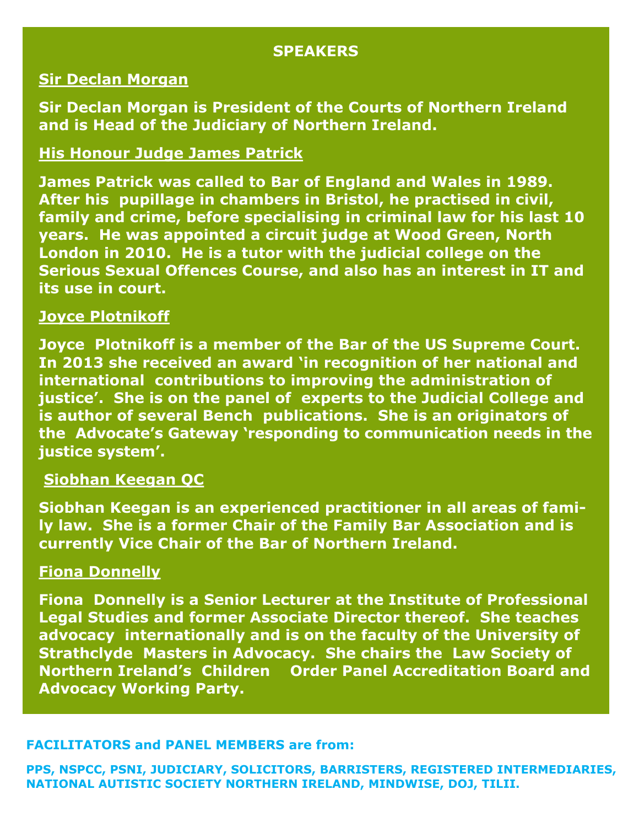#### **SPEAKERS**

#### **Sir Declan Morgan**

**Sir Declan Morgan is President of the Courts of Northern Ireland and is [Head of the Judiciary of Northern Ireland.](http://en.wikipedia.org/wiki/Courts_of_Northern_Ireland)**

#### **His Honour Judge James Patrick**

**James Patrick was called to Bar of England and Wales in 1989. After his pupillage in chambers in Bristol, he practised in civil, family and crime, before specialising in criminal law for his last 10 years. He was appointed a circuit judge at Wood Green, North London in 2010. He is a tutor with the judicial college on the Serious Sexual Offences Course, and also has an interest in IT and its use in court.** 

#### **Joyce Plotnikoff**

**Joyce Plotnikoff is a member of the Bar of the US Supreme Court. In 2013 she received an award 'in recognition of her national and international contributions to improving the administration of justice'. She is on the panel of experts to the Judicial College and is author of several Bench publications. She is an originators of the Advocate's Gateway 'responding to communication needs in the justice system'.**

# **Siobhan Keegan QC**

**Siobhan Keegan is an experienced practitioner in all areas of family law. She is a former Chair of the Family Bar Association and is currently Vice Chair of the Bar of Northern Ireland.**

#### **Fiona Donnelly**

**Fiona Donnelly is a Senior Lecturer at the Institute of Professional Legal Studies and former Associate Director thereof. She teaches advocacy internationally and is on the faculty of the University of Strathclyde Masters in Advocacy. She chairs the Law Society of Northern Ireland's Children Order Panel Accreditation Board and Advocacy Working Party.**

#### **FACILITATORS and PANEL MEMBERS are from:**

**PPS, NSPCC, PSNI, JUDICIARY, SOLICITORS, BARRISTERS, REGISTERED INTERMEDIARIES, NATIONAL AUTISTIC SOCIETY NORTHERN IRELAND, MINDWISE, DOJ, TILII.**